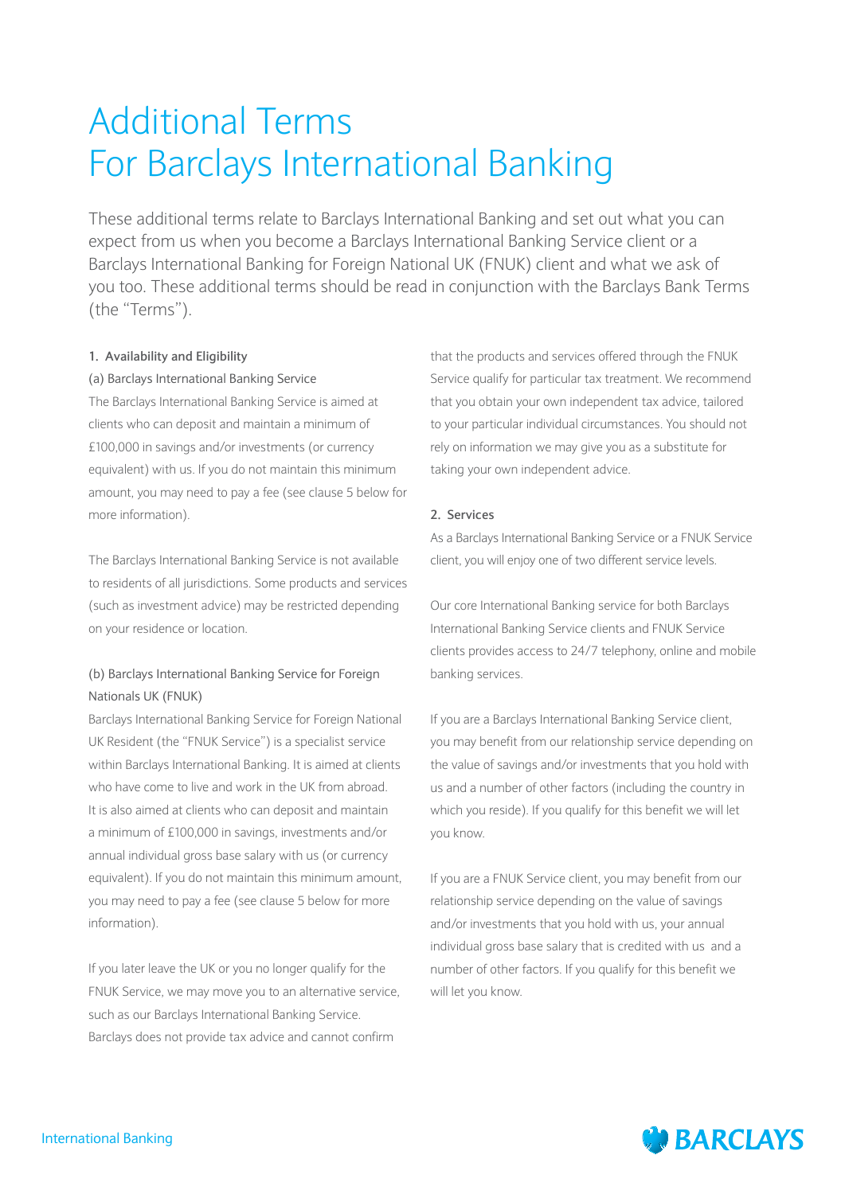# Additional Terms For Barclays International Banking

These additional terms relate to Barclays International Banking and set out what you can expect from us when you become a Barclays International Banking Service client or a Barclays International Banking for Foreign National UK (FNUK) client and what we ask of you too. These additional terms should be read in conjunction with the Barclays Bank Terms (the "Terms").

# **1. Availability and Eligibility**

# (a) Barclays International Banking Service

The Barclays International Banking Service is aimed at clients who can deposit and maintain a minimum of £100,000 in savings and/or investments (or currency equivalent) with us. If you do not maintain this minimum amount, you may need to pay a fee (see clause 5 below for more information).

The Barclays International Banking Service is not available to residents of all jurisdictions. Some products and services (such as investment advice) may be restricted depending on your residence or location.

# (b) Barclays International Banking Service for Foreign Nationals UK (FNUK)

Barclays International Banking Service for Foreign National UK Resident (the "FNUK Service") is a specialist service within Barclays International Banking. It is aimed at clients who have come to live and work in the UK from abroad. It is also aimed at clients who can deposit and maintain a minimum of £100,000 in savings, investments and/or annual individual gross base salary with us (or currency equivalent). If you do not maintain this minimum amount, you may need to pay a fee (see clause 5 below for more information).

If you later leave the UK or you no longer qualify for the FNUK Service, we may move you to an alternative service, such as our Barclays International Banking Service. Barclays does not provide tax advice and cannot confirm

that the products and services offered through the FNUK Service qualify for particular tax treatment. We recommend that you obtain your own independent tax advice, tailored to your particular individual circumstances. You should not rely on information we may give you as a substitute for taking your own independent advice.

# **2. Services**

As a Barclays International Banking Service or a FNUK Service client, you will enjoy one of two different service levels.

Our core International Banking service for both Barclays International Banking Service clients and FNUK Service clients provides access to 24/7 telephony, online and mobile banking services.

If you are a Barclays International Banking Service client, you may benefit from our relationship service depending on the value of savings and/or investments that you hold with us and a number of other factors (including the country in which you reside). If you qualify for this benefit we will let you know.

If you are a FNUK Service client, you may benefit from our relationship service depending on the value of savings and/or investments that you hold with us, your annual individual gross base salary that is credited with us and a number of other factors. If you qualify for this benefit we will let you know.

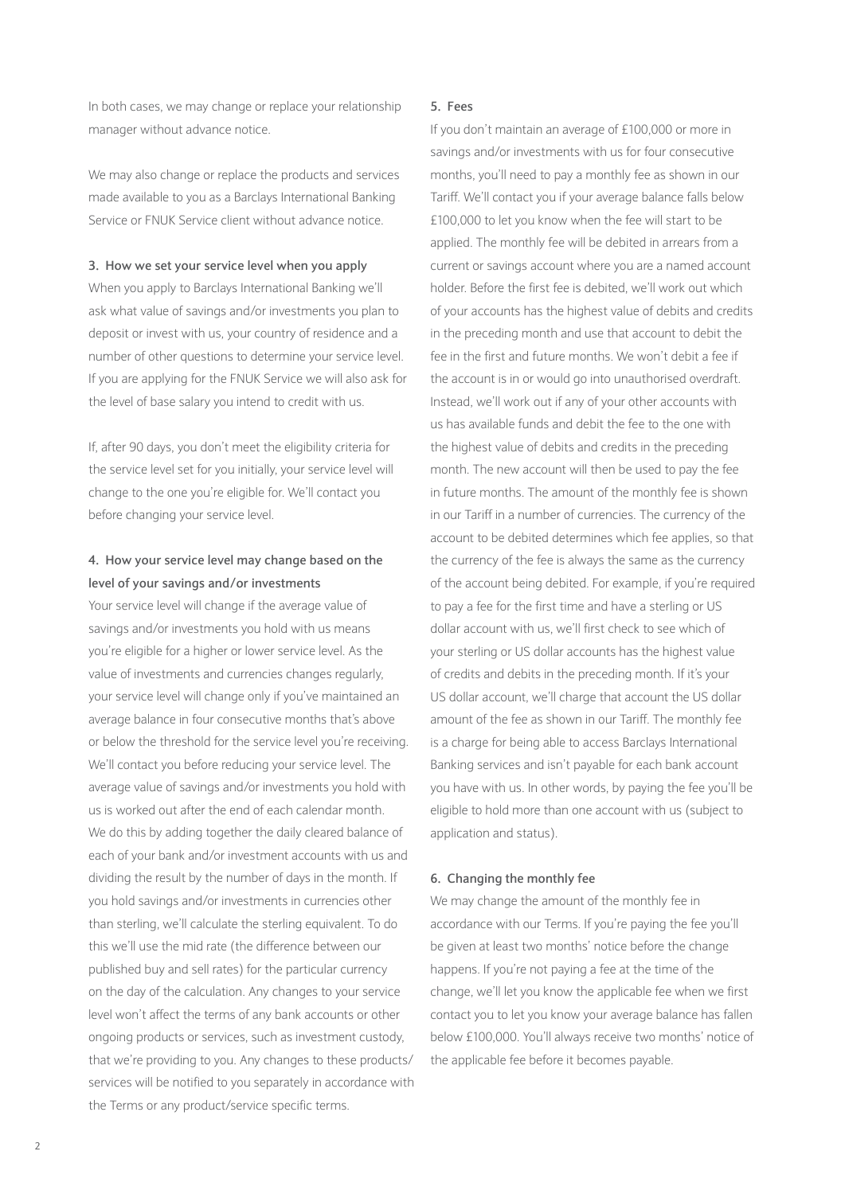In both cases, we may change or replace your relationship manager without advance notice.

We may also change or replace the products and services made available to you as a Barclays International Banking Service or FNUK Service client without advance notice.

#### **3. How we set your service level when you apply**

When you apply to Barclays International Banking we'll ask what value of savings and/or investments you plan to deposit or invest with us, your country of residence and a number of other questions to determine your service level. If you are applying for the FNUK Service we will also ask for the level of base salary you intend to credit with us.

If, after 90 days, you don't meet the eligibility criteria for the service level set for you initially, your service level will change to the one you're eligible for. We'll contact you before changing your service level.

# **4. How your service level may change based on the level of your savings and/or investments**

Your service level will change if the average value of savings and/or investments you hold with us means you're eligible for a higher or lower service level. As the value of investments and currencies changes regularly, your service level will change only if you've maintained an average balance in four consecutive months that's above or below the threshold for the service level you're receiving. We'll contact you before reducing your service level. The average value of savings and/or investments you hold with us is worked out after the end of each calendar month. We do this by adding together the daily cleared balance of each of your bank and/or investment accounts with us and dividing the result by the number of days in the month. If you hold savings and/or investments in currencies other than sterling, we'll calculate the sterling equivalent. To do this we'll use the mid rate (the difference between our published buy and sell rates) for the particular currency on the day of the calculation. Any changes to your service level won't affect the terms of any bank accounts or other ongoing products or services, such as investment custody, that we're providing to you. Any changes to these products/ services will be notified to you separately in accordance with the Terms or any product/service specific terms.

#### **5. Fees**

If you don't maintain an average of £100,000 or more in savings and/or investments with us for four consecutive months, you'll need to pay a monthly fee as shown in our Tariff. We'll contact you if your average balance falls below £100,000 to let you know when the fee will start to be applied. The monthly fee will be debited in arrears from a current or savings account where you are a named account holder. Before the first fee is debited, we'll work out which of your accounts has the highest value of debits and credits in the preceding month and use that account to debit the fee in the first and future months. We won't debit a fee if the account is in or would go into unauthorised overdraft. Instead, we'll work out if any of your other accounts with us has available funds and debit the fee to the one with the highest value of debits and credits in the preceding month. The new account will then be used to pay the fee in future months. The amount of the monthly fee is shown in our Tariff in a number of currencies. The currency of the account to be debited determines which fee applies, so that the currency of the fee is always the same as the currency of the account being debited. For example, if you're required to pay a fee for the first time and have a sterling or US dollar account with us, we'll first check to see which of your sterling or US dollar accounts has the highest value of credits and debits in the preceding month. If it's your US dollar account, we'll charge that account the US dollar amount of the fee as shown in our Tariff. The monthly fee is a charge for being able to access Barclays International Banking services and isn't payable for each bank account you have with us. In other words, by paying the fee you'll be eligible to hold more than one account with us (subject to application and status).

## **6. Changing the monthly fee**

We may change the amount of the monthly fee in accordance with our Terms. If you're paying the fee you'll be given at least two months' notice before the change happens. If you're not paying a fee at the time of the change, we'll let you know the applicable fee when we first contact you to let you know your average balance has fallen below £100,000. You'll always receive two months' notice of the applicable fee before it becomes payable.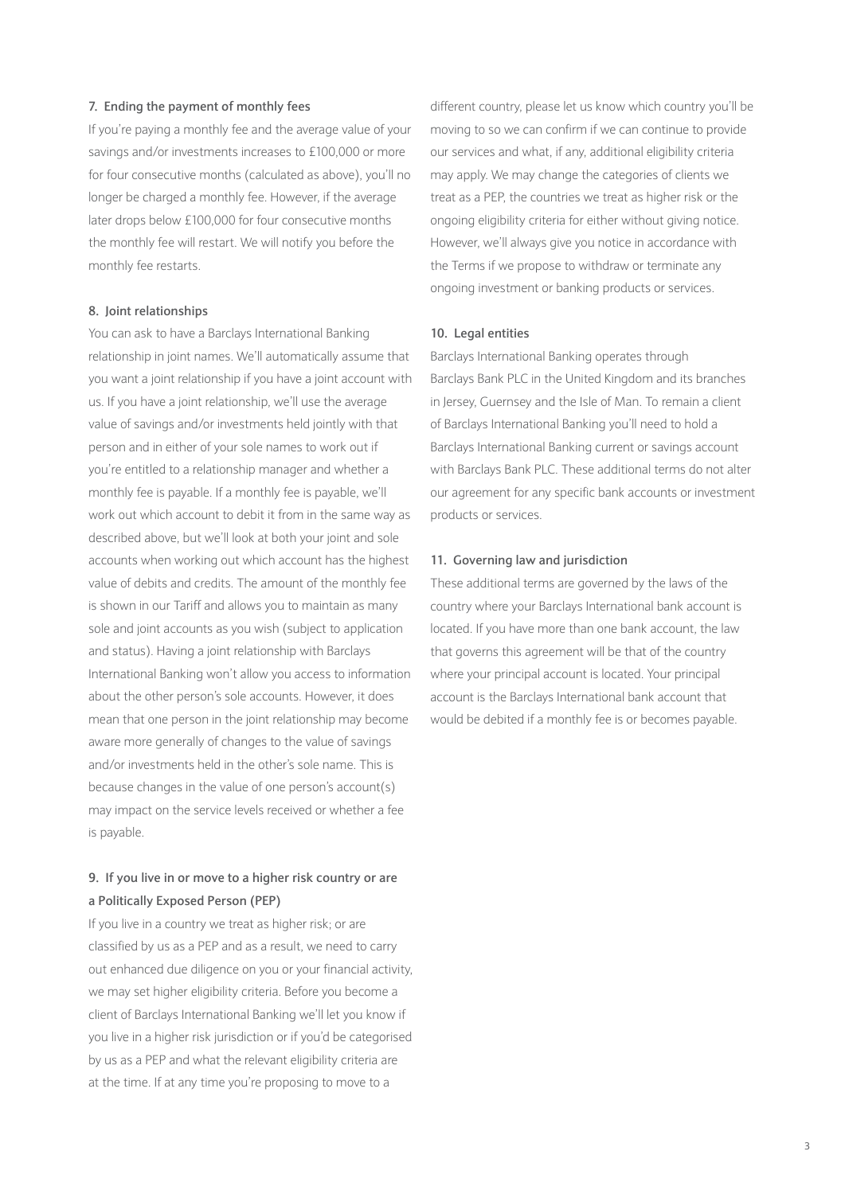## **7. Ending the payment of monthly fees**

If you're paying a monthly fee and the average value of your savings and/or investments increases to £100,000 or more for four consecutive months (calculated as above), you'll no longer be charged a monthly fee. However, if the average later drops below £100,000 for four consecutive months the monthly fee will restart. We will notify you before the monthly fee restarts.

### **8. Joint relationships**

You can ask to have a Barclays International Banking relationship in joint names. We'll automatically assume that you want a joint relationship if you have a joint account with us. If you have a joint relationship, we'll use the average value of savings and/or investments held jointly with that person and in either of your sole names to work out if you're entitled to a relationship manager and whether a monthly fee is payable. If a monthly fee is payable, we'll work out which account to debit it from in the same way as described above, but we'll look at both your joint and sole accounts when working out which account has the highest value of debits and credits. The amount of the monthly fee is shown in our Tariff and allows you to maintain as many sole and joint accounts as you wish (subject to application and status). Having a joint relationship with Barclays International Banking won't allow you access to information about the other person's sole accounts. However, it does mean that one person in the joint relationship may become aware more generally of changes to the value of savings and/or investments held in the other's sole name. This is because changes in the value of one person's account(s) may impact on the service levels received or whether a fee is payable.

# **9. If you live in or move to a higher risk country or are a Politically Exposed Person (PEP)**

If you live in a country we treat as higher risk; or are classified by us as a PEP and as a result, we need to carry out enhanced due diligence on you or your financial activity, we may set higher eligibility criteria. Before you become a client of Barclays International Banking we'll let you know if you live in a higher risk jurisdiction or if you'd be categorised by us as a PEP and what the relevant eligibility criteria are at the time. If at any time you're proposing to move to a

different country, please let us know which country you'll be moving to so we can confirm if we can continue to provide our services and what, if any, additional eligibility criteria may apply. We may change the categories of clients we treat as a PEP, the countries we treat as higher risk or the ongoing eligibility criteria for either without giving notice. However, we'll always give you notice in accordance with the Terms if we propose to withdraw or terminate any ongoing investment or banking products or services.

#### **10. Legal entities**

Barclays International Banking operates through Barclays Bank PLC in the United Kingdom and its branches in Jersey, Guernsey and the Isle of Man. To remain a client of Barclays International Banking you'll need to hold a Barclays International Banking current or savings account with Barclays Bank PLC. These additional terms do not alter our agreement for any specific bank accounts or investment products or services.

#### **11. Governing law and jurisdiction**

These additional terms are governed by the laws of the country where your Barclays International bank account is located. If you have more than one bank account, the law that governs this agreement will be that of the country where your principal account is located. Your principal account is the Barclays International bank account that would be debited if a monthly fee is or becomes payable.